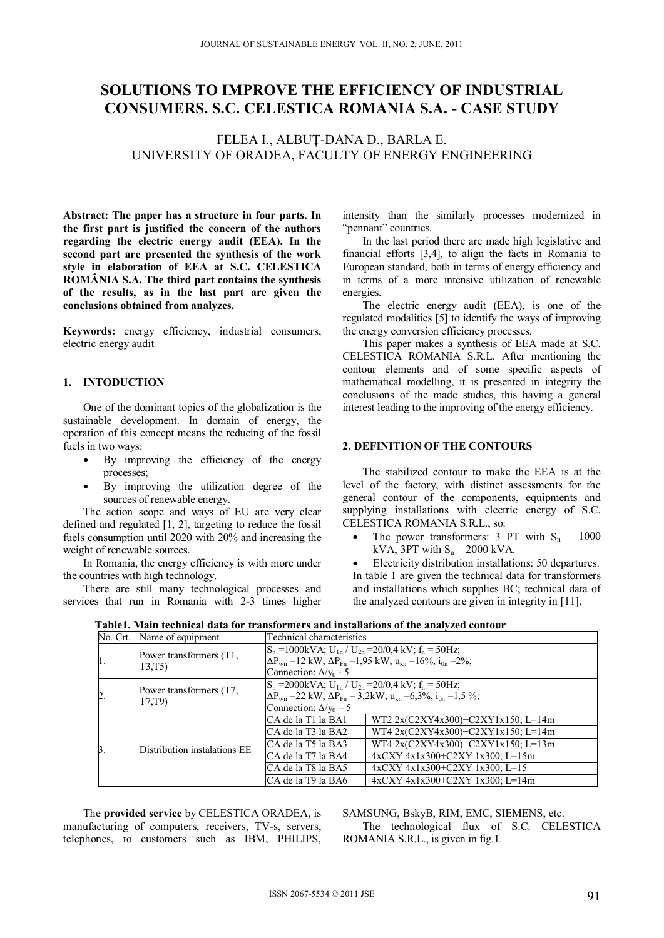# **SOLUTIONS TO IMPROVE THE EFFICIENCY OF INDUSTRIAL CONSUMERS. S.C. CELESTICA ROMANIA S.A. - CASE STUDY**

FELEA I., ALBUŢ-DANA D., BARLA E. UNIVERSITY OF ORADEA, FACULTY OF ENERGY ENGINEERING

**Abstract: The paper has a structure in four parts. In the first part is justified the concern of the authors regarding the electric energy audit (EEA). In the second part are presented the synthesis of the work style in elaboration of EEA at S.C. CELESTICA ROMÂNIA S.A. The third part contains the synthesis of the results, as in the last part are given the conclusions obtained from analyzes.** 

**Keywords:** energy efficiency, industrial consumers, electric energy audit

#### **1. INTODUCTION**

One of the dominant topics of the globalization is the sustainable development. In domain of energy, the operation of this concept means the reducing of the fossil fuels in two ways:

- By improving the efficiency of the energy processes;
- By improving the utilization degree of the sources of renewable energy.

The action scope and ways of EU are very clear defined and regulated [1, 2], targeting to reduce the fossil fuels consumption until 2020 with 20% and increasing the weight of renewable sources.

In Romania, the energy efficiency is with more under the countries with high technology.

There are still many technological processes and services that run in Romania with 2-3 times higher

intensity than the similarly processes modernized in "pennant" countries.

In the last period there are made high legislative and financial efforts [3,4], to align the facts in Romania to European standard, both in terms of energy efficiency and in terms of a more intensive utilization of renewable energies.

The electric energy audit (EEA), is one of the regulated modalities [5] to identify the ways of improving the energy conversion efficiency processes.

This paper makes a synthesis of EEA made at S.C. CELESTICA ROMANIA S.R.L. After mentioning the contour elements and of some specific aspects of mathematical modelling, it is presented in integrity the conclusions of the made studies, this having a general interest leading to the improving of the energy efficiency.

## **2. DEFINITION OF THE CONTOURS**

The stabilized contour to make the EEA is at the level of the factory, with distinct assessments for the general contour of the components, equipments and supplying installations with electric energy of S.C. CELESTICA ROMANIA S.R.L., so:

The power transformers: 3 PT with  $S_n = 1000$ kVA,  $3PT$  with  $S_n = 2000$  kVA.

 Electricity distribution installations: 50 departures. In table 1 are given the technical data for transformers and installations which supplies BC; technical data of the analyzed contours are given in integrity in [11].

|                | No. Crt. Name of equipment        | Technical characteristics                                                                                                                                                                                                              |                                                                                                                                                                                                     |  |
|----------------|-----------------------------------|----------------------------------------------------------------------------------------------------------------------------------------------------------------------------------------------------------------------------------------|-----------------------------------------------------------------------------------------------------------------------------------------------------------------------------------------------------|--|
| 1.             | Power transformers (T1,<br>T3,T5  | $S_n = 1000kVA$ ; U <sub>1n</sub> / U <sub>2n</sub> = 20/0,4 kV; f <sub>n</sub> = 50Hz;<br>$\Delta P_{\text{wn}}$ = 12 kW; $\Delta P_{\text{Fn}}$ = 1,95 kW; $u_{\text{kn}}$ = 16%, $i_{0n}$ = 2%;<br>Connection: $\Delta$ / $v_0$ - 5 |                                                                                                                                                                                                     |  |
| $\overline{2}$ | Power transformers (T7,<br>T7.T9) | $S_n = 2000$ kVA; $U_{1n}$ / $U_{2n} = 20/0.4$ kV; $f_n = 50$ Hz;<br>$\Delta P_{\text{wn}}$ = 22 kW; $\Delta P_{\text{Fn}}$ = 3,2kW; $u_{\text{kn}}$ = 6,3%, $i_{\text{0n}}$ = 1,5%;<br>Connection: $\Delta v_0$ – 5                   |                                                                                                                                                                                                     |  |
| Β.             | Distribution instalations EE      | ICA de la T1 la BA1<br>ICA de la T3 la BA2<br>ICA de la T5 la BA3<br>ICA de la T7 la BA4<br>ICA de la T8 la BA5                                                                                                                        | WT2 2x(C2XY4x300)+C2XY1x150; L=14m<br>WT4 2x(C2XY4x300)+C2XY1x150; L=14m<br>WT4 2x(C2XY4x300)+C2XY1x150; L=13m<br>$4x$ CXY $4x1x300+$ C2XY $1x300$ ; L=15m<br>$4xCXY$ $4x1x300+C2XY$ $1x300$ ; L=15 |  |
|                |                                   | CA de la T9 la BA6                                                                                                                                                                                                                     | $4xCXY$ $4x1x300+C2XY$ $1x300$ ; L=14m                                                                                                                                                              |  |

**Table1. Main technical data for transformers and installations of the analyzed contour** 

The **provided service** by CELESTICA ORADEA, is manufacturing of computers, receivers, TV-s, servers, telephones, to customers such as IBM, PHILIPS, SAMSUNG, BskyB, RIM, EMC, SIEMENS, etc.

The technological flux of S.C. CELESTICA ROMANIA S.R.L., is given in fig.1.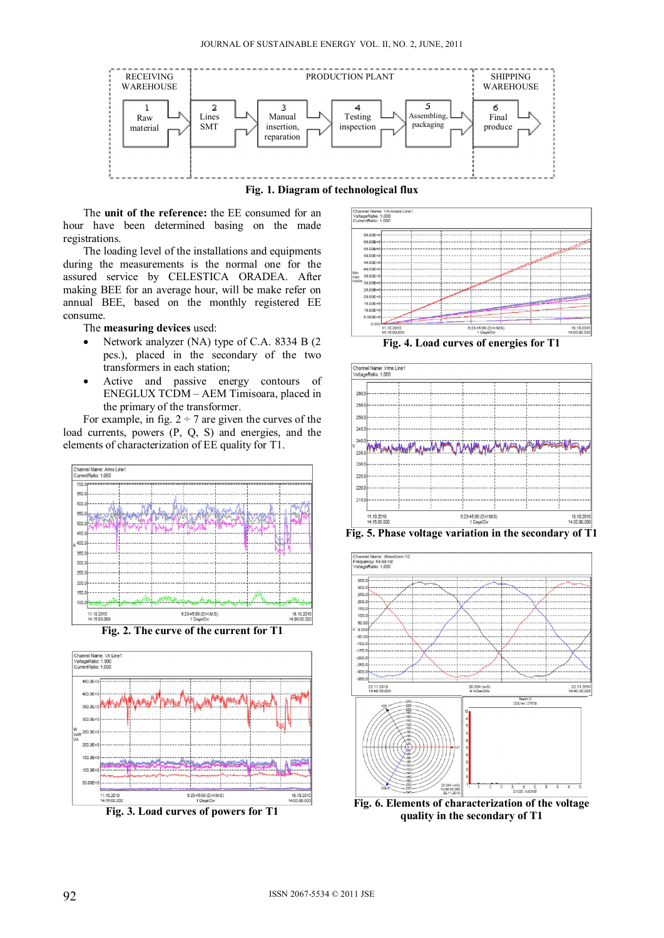

**Fig. 1. Diagram of technological flux** 

The **unit of the reference:** the EE consumed for an hour have been determined basing on the made registrations.

The loading level of the installations and equipments during the measurements is the normal one for the assured service by CELESTICA ORADEA. After making BEE for an average hour, will be make refer on annual BEE, based on the monthly registered EE consume.

The **measuring devices** used:

- Network analyzer (NA) type of C.A. 8334 B (2) pcs.), placed in the secondary of the two transformers in each station;
- Active and passive energy contours of ENEGLUX TCDM – AEM Timisoara, placed in the primary of the transformer.

For example, in fig.  $2 \div 7$  are given the curves of the load currents, powers (P, Q, S) and energies, and the elements of characterization of EE quality for T1.





**Fig. 3. Load curves of powers for T1** 







**Fig. 6. Elements of characterization of the voltage quality in the secondary of T1**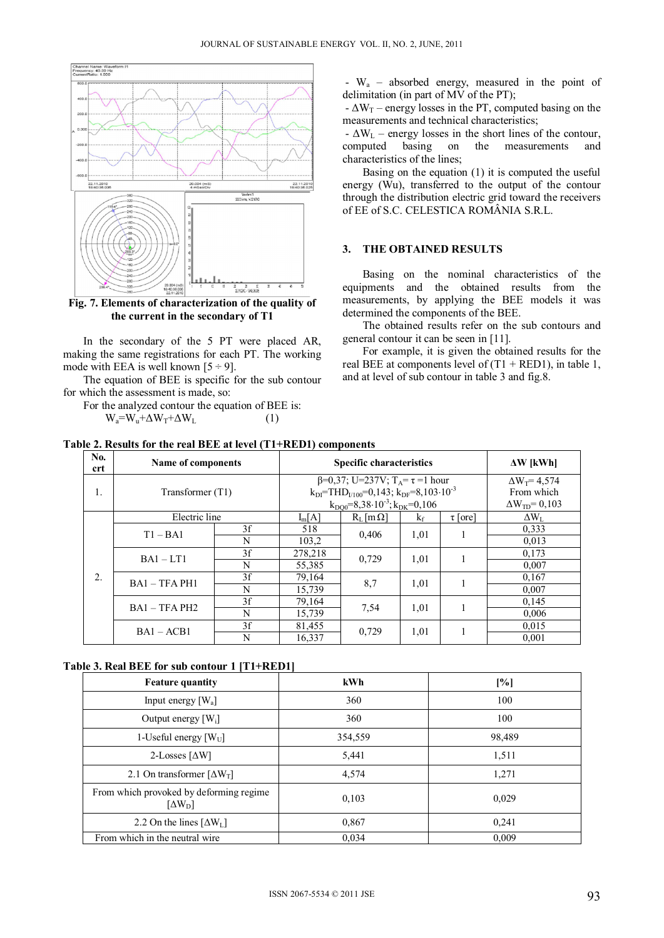

**Fig. 7. Elements of characterization of the quality of the current in the secondary of T1** 

In the secondary of the 5 PT were placed AR, making the same registrations for each PT. The working mode with EEA is well known  $[5 \div 9]$ .

The equation of BEE is specific for the sub contour for which the assessment is made, so:

For the analyzed contour the equation of BEE is:  $W_a=W_u+\Delta W_T+\Delta W_L$  (1)

 - Wa – absorbed energy, measured in the point of delimitation (in part of MV of the PT);

 $-\Delta W_T$  – energy losses in the PT, computed basing on the measurements and technical characteristics;

 $-\Delta W_L$  – energy losses in the short lines of the contour, computed basing on the measurements and characteristics of the lines;

Basing on the equation (1) it is computed the useful energy (Wu), transferred to the output of the contour through the distribution electric grid toward the receivers of EE of S.C. CELESTICA ROMÂNIA S.R.L.

### **3. THE OBTAINED RESULTS**

Basing on the nominal characteristics of the equipments and the obtained results from the measurements, by applying the BEE models it was determined the components of the BEE.

The obtained results refer on the sub contours and general contour it can be seen in [11].

For example, it is given the obtained results for the real BEE at components level of  $(T1 + RED1)$ , in table 1, and at level of sub contour in table 3 and fig.8.

| No.<br><b>crt</b> | Name of components                |    |                                                                                                                                              | <b>Specific characteristics</b> |       |                                    | $\Delta W$ [kWh]   |
|-------------------|-----------------------------------|----|----------------------------------------------------------------------------------------------------------------------------------------------|---------------------------------|-------|------------------------------------|--------------------|
| 1.                | Transformer (T1)<br>Electric line |    | $\beta=0.37$ ; U=237V; T <sub>A</sub> = $\tau$ =1 hour<br>$k_{DI}$ =THD <sub><math>V100</math></sub> =0,143; $k_{DF}$ =8,103 $\cdot 10^{-3}$ |                                 |       | $\Delta W_1 = 4.574$<br>From which |                    |
|                   |                                   |    | $k_{\text{DO0}} = 8,38 \cdot 10^{-3}$ ; $k_{\text{DK}} = 0,106$                                                                              |                                 |       | $\Delta W_{\text{TD}} = 0.103$     |                    |
|                   |                                   |    | $I_m[A]$                                                                                                                                     | $R_L$ [m $\Omega$ ]             | $k_f$ | $\tau$ [ore]                       | $\Delta W_{\rm L}$ |
| 2.                | $T1 - BA1$                        | 3f | 518                                                                                                                                          | 0.406                           | 1,01  |                                    | 0.333              |
|                   |                                   | N  | 103.2                                                                                                                                        |                                 |       |                                    | 0,013              |
|                   | $BA1 - LT1$                       | 3f | 278,218                                                                                                                                      | 0.729                           | 1,01  |                                    | 0.173              |
|                   |                                   | N  | 55,385                                                                                                                                       |                                 |       |                                    | 0,007              |
|                   | $BA1 - TFA PH1$                   | 3f | 79,164                                                                                                                                       | 8,7                             | 1,01  |                                    | 0,167              |
|                   |                                   | N  | 15,739                                                                                                                                       |                                 |       |                                    | 0,007              |
|                   | $BA1 - TFA PH2$                   | 3f | 79,164                                                                                                                                       | 7.54                            | 1,01  | 1                                  | 0.145              |
|                   |                                   | N  | 15,739                                                                                                                                       |                                 |       |                                    | 0,006              |
|                   | $BA1 - ACB1$                      | 3f | 81,455                                                                                                                                       | 0.729                           | 1,01  |                                    | 0.015              |
|                   |                                   | N  | 16,337                                                                                                                                       |                                 |       |                                    | 0,001              |

**Table 2. Results for the real BEE at level (T1+RED1) components** 

**Table 3. Real BEE for sub contour 1 [T1+RED1]** 

| <b>Feature quantity</b>                                                | kWh     | [%]    |
|------------------------------------------------------------------------|---------|--------|
| Input energy $[W_a]$                                                   | 360     | 100    |
| Output energy $[W_i]$                                                  | 360     | 100    |
| 1-Useful energy $[W_U]$                                                | 354,559 | 98,489 |
| 2-Losses $\left[\Delta W\right]$                                       | 5,441   | 1,511  |
| 2.1 On transformer $[\Delta W_T]$                                      | 4,574   | 1,271  |
| From which provoked by deforming regime<br>$\left[\Delta W_{D}\right]$ | 0.103   | 0,029  |
| 2.2 On the lines $[\Delta W_L]$                                        | 0,867   | 0,241  |
| From which in the neutral wire                                         | 0.034   | 0,009  |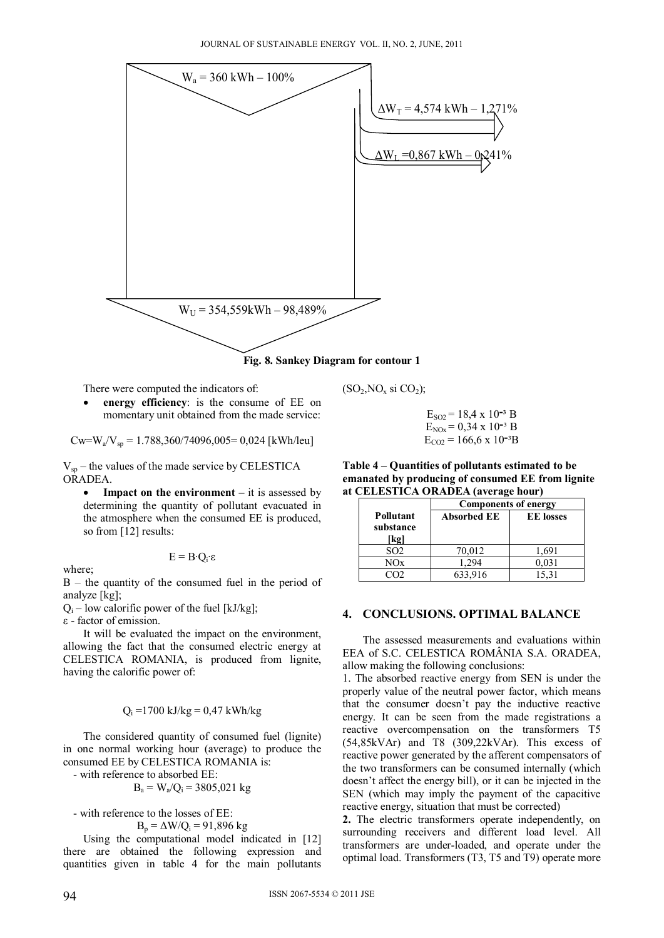

**Fig. 8. Sankey Diagram for contour 1** 

There were computed the indicators of:

 **energy efficiency**: is the consume of EE on momentary unit obtained from the made service:

 $Cw=W_a/V_{sp} = 1.788,360/74096,005 = 0.024$  [kWh/leu]

 $V_{sp}$  – the values of the made service by CELESTICA ORADEA.

• **Impact on the environment** – it is assessed by determining the quantity of pollutant evacuated in the atmosphere when the consumed EE is produced, so from [12] results:

where;

B – the quantity of the consumed fuel in the period of analyze [kg];

E = B∙Qi∙ε

 $Q_i$  – low calorific power of the fuel [kJ/kg];

ε - factor of emission.

It will be evaluated the impact on the environment, allowing the fact that the consumed electric energy at CELESTICA ROMANIA, is produced from lignite, having the calorific power of:

$$
Q_i = 1700 \text{ kJ/kg} = 0.47 \text{ kWh/kg}
$$

The considered quantity of consumed fuel (lignite) in one normal working hour (average) to produce the consumed EE by CELESTICA ROMANIA is:

- with reference to absorbed EE:

$$
B_a = W_a/Q_i = 3805,021
$$
 kg

- with reference to the losses of EE:

 $B_p = \Delta W/Q_i = 91,896$  kg

Using the computational model indicated in [12] there are obtained the following expression and quantities given in table 4 for the main pollutants

 $E_{SO2} = 18.4 \times 10^{-3}$  B

 $(SO<sub>2</sub>, NO<sub>x</sub> si CO<sub>2</sub>)$ ;

 $E_{NOX} = 0.34 \times 10^{-3}$  B  $E_{CO2}$  = 166,6 x 10<sup>-3</sup>B

**Table 4 – Quantities of pollutants estimated to be emanated by producing of consumed EE from lignite at CELESTICA ORADEA (average hour)** 

|                                | <b>Components of energy</b> |                  |  |  |  |
|--------------------------------|-----------------------------|------------------|--|--|--|
| Pollutant<br>substance<br>[kg] | <b>Absorbed EE</b>          | <b>EE</b> losses |  |  |  |
| SO <sub>2</sub>                | 70,012                      | 1.691            |  |  |  |
| NOx                            | 1.294                       | 0.031            |  |  |  |
|                                | 633,916                     | 15,31            |  |  |  |

### **4. CONCLUSIONS. OPTIMAL BALANCE**

The assessed measurements and evaluations within EEA of S.C. CELESTICA ROMÂNIA S.A. ORADEA, allow making the following conclusions:

1. The absorbed reactive energy from SEN is under the properly value of the neutral power factor, which means that the consumer doesn't pay the inductive reactive energy. It can be seen from the made registrations a reactive overcompensation on the transformers T5 (54,85kVAr) and T8 (309,22kVAr). This excess of reactive power generated by the afferent compensators of the two transformers can be consumed internally (which doesn't affect the energy bill), or it can be injected in the SEN (which may imply the payment of the capacitive reactive energy, situation that must be corrected)

**2.** The electric transformers operate independently, on surrounding receivers and different load level. All transformers are under-loaded, and operate under the optimal load. Transformers (T3, T5 and T9) operate more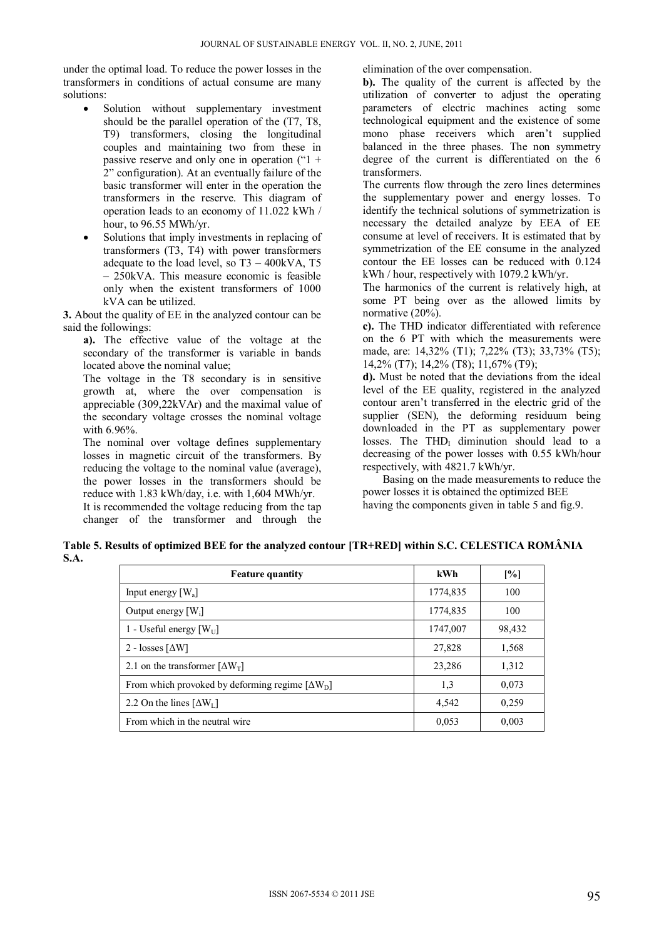under the optimal load. To reduce the power losses in the transformers in conditions of actual consume are many solutions:

- Solution without supplementary investment should be the parallel operation of the (T7, T8, T9) transformers, closing the longitudinal couples and maintaining two from these in passive reserve and only one in operation ("1 + 2" configuration). At an eventually failure of the basic transformer will enter in the operation the transformers in the reserve. This diagram of operation leads to an economy of 11.022 kWh / hour, to 96.55 MWh/yr.
- Solutions that imply investments in replacing of transformers (T3, T4) with power transformers adequate to the load level, so  $T3 - 400kVA$ , T5 – 250kVA. This measure economic is feasible only when the existent transformers of 1000 kVA can be utilized.

**3.** About the quality of EE in the analyzed contour can be said the followings:

**a).** The effective value of the voltage at the secondary of the transformer is variable in bands located above the nominal value;

The voltage in the T8 secondary is in sensitive growth at, where the over compensation is appreciable (309,22kVAr) and the maximal value of the secondary voltage crosses the nominal voltage with 6.96%.

The nominal over voltage defines supplementary losses in magnetic circuit of the transformers. By reducing the voltage to the nominal value (average), the power losses in the transformers should be reduce with 1.83 kWh/day, i.e. with 1,604 MWh/yr. It is recommended the voltage reducing from the tap changer of the transformer and through the elimination of the over compensation.

**b).** The quality of the current is affected by the utilization of converter to adjust the operating parameters of electric machines acting some technological equipment and the existence of some mono phase receivers which aren't supplied balanced in the three phases. The non symmetry degree of the current is differentiated on the 6 transformers.

The currents flow through the zero lines determines the supplementary power and energy losses. To identify the technical solutions of symmetrization is necessary the detailed analyze by EEA of EE consume at level of receivers. It is estimated that by symmetrization of the EE consume in the analyzed contour the EE losses can be reduced with 0.124 kWh / hour, respectively with 1079.2 kWh/yr.

The harmonics of the current is relatively high, at some PT being over as the allowed limits by normative (20%).

**c).** The THD indicator differentiated with reference on the 6 PT with which the measurements were made, are: 14,32% (T1); 7,22% (T3); 33,73% (T5); 14,2% (T7); 14,2% (T8); 11,67% (T9);

**d).** Must be noted that the deviations from the ideal level of the EE quality, registered in the analyzed contour aren't transferred in the electric grid of the supplier (SEN), the deforming residuum being downloaded in the PT as supplementary power losses. The THD $_I$  diminution should lead to a decreasing of the power losses with 0.55 kWh/hour respectively, with 4821.7 kWh/yr.

 Basing on the made measurements to reduce the power losses it is obtained the optimized BEE having the components given in table 5 and fig.9.

**Table 5. Results of optimized BEE for the analyzed contour [TR+RED] within S.C. CELESTICA ROMÂNIA S.A.**

| <b>Feature quantity</b>                                   | kWh      | [%]    |
|-----------------------------------------------------------|----------|--------|
| Input energy $[W_a]$                                      | 1774,835 | 100    |
| Output energy $[W_i]$                                     | 1774,835 | 100    |
| 1 - Useful energy $[W_U]$                                 | 1747,007 | 98,432 |
| 2 - losses $\lceil \Delta W \rceil$                       | 27,828   | 1,568  |
| 2.1 on the transformer $\left[\Delta W_{\text{T}}\right]$ | 23,286   | 1,312  |
| From which provoked by deforming regime $[\Delta W_D]$    | 1,3      | 0.073  |
| 2.2 On the lines $[\Delta W_L]$                           | 4,542    | 0.259  |
| From which in the neutral wire                            | 0,053    | 0,003  |